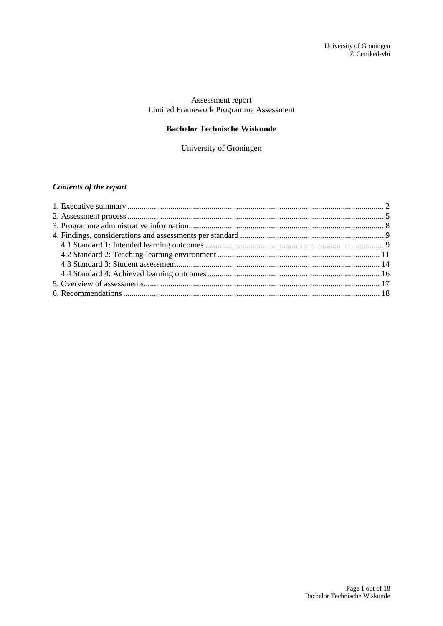### Assessment report Limited Framework Programme Assessment

## **Bachelor Technische Wiskunde**

University of Groningen

## *Contents of the report*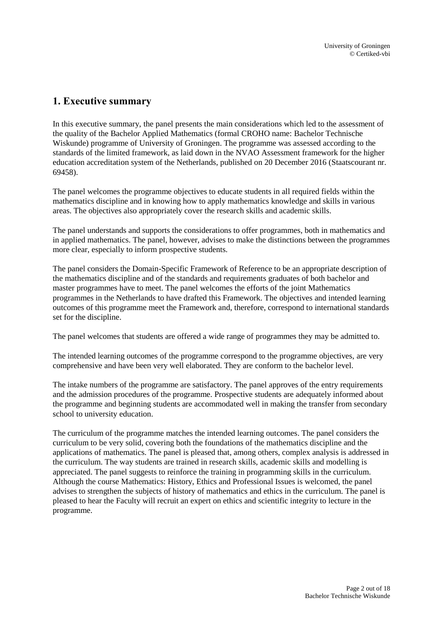# <span id="page-1-0"></span>**1. Executive summary**

In this executive summary, the panel presents the main considerations which led to the assessment of the quality of the Bachelor Applied Mathematics (formal CROHO name: Bachelor Technische Wiskunde) programme of University of Groningen. The programme was assessed according to the standards of the limited framework, as laid down in the NVAO Assessment framework for the higher education accreditation system of the Netherlands, published on 20 December 2016 (Staatscourant nr. 69458).

The panel welcomes the programme objectives to educate students in all required fields within the mathematics discipline and in knowing how to apply mathematics knowledge and skills in various areas. The objectives also appropriately cover the research skills and academic skills.

The panel understands and supports the considerations to offer programmes, both in mathematics and in applied mathematics. The panel, however, advises to make the distinctions between the programmes more clear, especially to inform prospective students.

The panel considers the Domain-Specific Framework of Reference to be an appropriate description of the mathematics discipline and of the standards and requirements graduates of both bachelor and master programmes have to meet. The panel welcomes the efforts of the joint Mathematics programmes in the Netherlands to have drafted this Framework. The objectives and intended learning outcomes of this programme meet the Framework and, therefore, correspond to international standards set for the discipline.

The panel welcomes that students are offered a wide range of programmes they may be admitted to.

The intended learning outcomes of the programme correspond to the programme objectives, are very comprehensive and have been very well elaborated. They are conform to the bachelor level.

The intake numbers of the programme are satisfactory. The panel approves of the entry requirements and the admission procedures of the programme. Prospective students are adequately informed about the programme and beginning students are accommodated well in making the transfer from secondary school to university education.

The curriculum of the programme matches the intended learning outcomes. The panel considers the curriculum to be very solid, covering both the foundations of the mathematics discipline and the applications of mathematics. The panel is pleased that, among others, complex analysis is addressed in the curriculum. The way students are trained in research skills, academic skills and modelling is appreciated. The panel suggests to reinforce the training in programming skills in the curriculum. Although the course Mathematics: History, Ethics and Professional Issues is welcomed, the panel advises to strengthen the subjects of history of mathematics and ethics in the curriculum. The panel is pleased to hear the Faculty will recruit an expert on ethics and scientific integrity to lecture in the programme.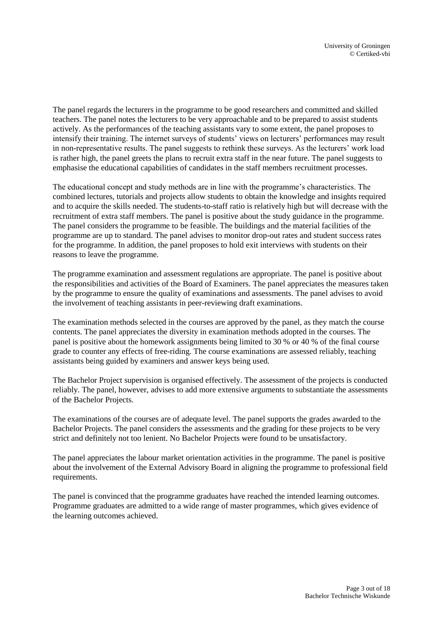The panel regards the lecturers in the programme to be good researchers and committed and skilled teachers. The panel notes the lecturers to be very approachable and to be prepared to assist students actively. As the performances of the teaching assistants vary to some extent, the panel proposes to intensify their training. The internet surveys of students' views on lecturers' performances may result in non-representative results. The panel suggests to rethink these surveys. As the lecturers' work load is rather high, the panel greets the plans to recruit extra staff in the near future. The panel suggests to emphasise the educational capabilities of candidates in the staff members recruitment processes.

The educational concept and study methods are in line with the programme's characteristics. The combined lectures, tutorials and projects allow students to obtain the knowledge and insights required and to acquire the skills needed. The students-to-staff ratio is relatively high but will decrease with the recruitment of extra staff members. The panel is positive about the study guidance in the programme. The panel considers the programme to be feasible. The buildings and the material facilities of the programme are up to standard. The panel advises to monitor drop-out rates and student success rates for the programme. In addition, the panel proposes to hold exit interviews with students on their reasons to leave the programme.

The programme examination and assessment regulations are appropriate. The panel is positive about the responsibilities and activities of the Board of Examiners. The panel appreciates the measures taken by the programme to ensure the quality of examinations and assessments. The panel advises to avoid the involvement of teaching assistants in peer-reviewing draft examinations.

The examination methods selected in the courses are approved by the panel, as they match the course contents. The panel appreciates the diversity in examination methods adopted in the courses. The panel is positive about the homework assignments being limited to 30 % or 40 % of the final course grade to counter any effects of free-riding. The course examinations are assessed reliably, teaching assistants being guided by examiners and answer keys being used.

The Bachelor Project supervision is organised effectively. The assessment of the projects is conducted reliably. The panel, however, advises to add more extensive arguments to substantiate the assessments of the Bachelor Projects.

The examinations of the courses are of adequate level. The panel supports the grades awarded to the Bachelor Projects. The panel considers the assessments and the grading for these projects to be very strict and definitely not too lenient. No Bachelor Projects were found to be unsatisfactory.

The panel appreciates the labour market orientation activities in the programme. The panel is positive about the involvement of the External Advisory Board in aligning the programme to professional field requirements.

The panel is convinced that the programme graduates have reached the intended learning outcomes. Programme graduates are admitted to a wide range of master programmes, which gives evidence of the learning outcomes achieved.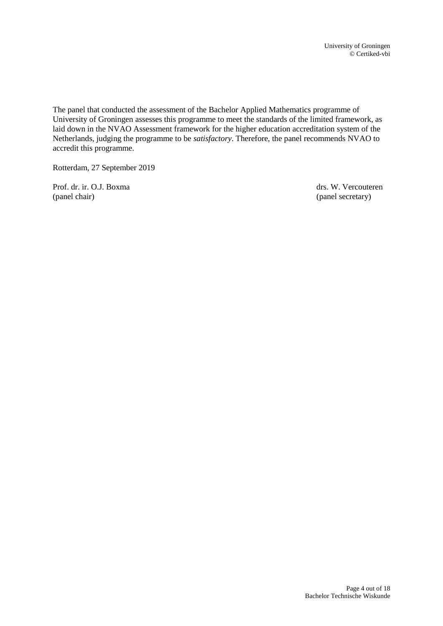The panel that conducted the assessment of the Bachelor Applied Mathematics programme of University of Groningen assesses this programme to meet the standards of the limited framework, as laid down in the NVAO Assessment framework for the higher education accreditation system of the Netherlands, judging the programme to be *satisfactory*. Therefore, the panel recommends NVAO to accredit this programme.

Rotterdam, 27 September 2019

Prof. dr. ir. O.J. Boxma drs. W. Vercouteren (panel chair) (panel secretary)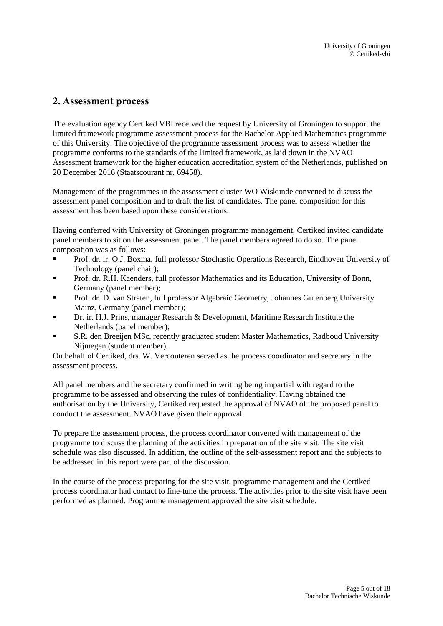# <span id="page-4-0"></span>**2. Assessment process**

The evaluation agency Certiked VBI received the request by University of Groningen to support the limited framework programme assessment process for the Bachelor Applied Mathematics programme of this University. The objective of the programme assessment process was to assess whether the programme conforms to the standards of the limited framework, as laid down in the NVAO Assessment framework for the higher education accreditation system of the Netherlands, published on 20 December 2016 (Staatscourant nr. 69458).

Management of the programmes in the assessment cluster WO Wiskunde convened to discuss the assessment panel composition and to draft the list of candidates. The panel composition for this assessment has been based upon these considerations.

Having conferred with University of Groningen programme management, Certiked invited candidate panel members to sit on the assessment panel. The panel members agreed to do so. The panel composition was as follows:

- Prof. dr. ir. O.J. Boxma, full professor Stochastic Operations Research, Eindhoven University of Technology (panel chair);
- Prof. dr. R.H. Kaenders, full professor Mathematics and its Education, University of Bonn, Germany (panel member);
- Prof. dr. D. van Straten, full professor Algebraic Geometry, Johannes Gutenberg University Mainz, Germany (panel member);
- Dr. ir. H.J. Prins, manager Research  $\&$  Development, Maritime Research Institute the Netherlands (panel member);
- S.R. den Breeijen MSc, recently graduated student Master Mathematics, Radboud University Nijmegen (student member).

On behalf of Certiked, drs. W. Vercouteren served as the process coordinator and secretary in the assessment process.

All panel members and the secretary confirmed in writing being impartial with regard to the programme to be assessed and observing the rules of confidentiality. Having obtained the authorisation by the University, Certiked requested the approval of NVAO of the proposed panel to conduct the assessment. NVAO have given their approval.

To prepare the assessment process, the process coordinator convened with management of the programme to discuss the planning of the activities in preparation of the site visit. The site visit schedule was also discussed. In addition, the outline of the self-assessment report and the subjects to be addressed in this report were part of the discussion.

In the course of the process preparing for the site visit, programme management and the Certiked process coordinator had contact to fine-tune the process. The activities prior to the site visit have been performed as planned. Programme management approved the site visit schedule.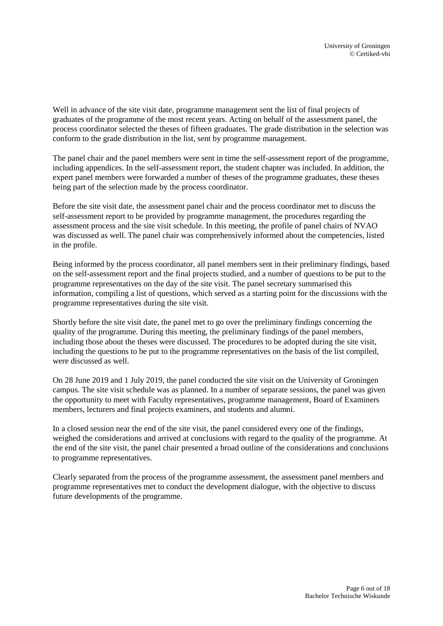Well in advance of the site visit date, programme management sent the list of final projects of graduates of the programme of the most recent years. Acting on behalf of the assessment panel, the process coordinator selected the theses of fifteen graduates. The grade distribution in the selection was conform to the grade distribution in the list, sent by programme management.

The panel chair and the panel members were sent in time the self-assessment report of the programme, including appendices. In the self-assessment report, the student chapter was included. In addition, the expert panel members were forwarded a number of theses of the programme graduates, these theses being part of the selection made by the process coordinator.

Before the site visit date, the assessment panel chair and the process coordinator met to discuss the self-assessment report to be provided by programme management, the procedures regarding the assessment process and the site visit schedule. In this meeting, the profile of panel chairs of NVAO was discussed as well. The panel chair was comprehensively informed about the competencies, listed in the profile.

Being informed by the process coordinator, all panel members sent in their preliminary findings, based on the self-assessment report and the final projects studied, and a number of questions to be put to the programme representatives on the day of the site visit. The panel secretary summarised this information, compiling a list of questions, which served as a starting point for the discussions with the programme representatives during the site visit.

Shortly before the site visit date, the panel met to go over the preliminary findings concerning the quality of the programme. During this meeting, the preliminary findings of the panel members, including those about the theses were discussed. The procedures to be adopted during the site visit, including the questions to be put to the programme representatives on the basis of the list compiled, were discussed as well.

On 28 June 2019 and 1 July 2019, the panel conducted the site visit on the University of Groningen campus. The site visit schedule was as planned. In a number of separate sessions, the panel was given the opportunity to meet with Faculty representatives, programme management, Board of Examiners members, lecturers and final projects examiners, and students and alumni.

In a closed session near the end of the site visit, the panel considered every one of the findings, weighed the considerations and arrived at conclusions with regard to the quality of the programme. At the end of the site visit, the panel chair presented a broad outline of the considerations and conclusions to programme representatives.

Clearly separated from the process of the programme assessment, the assessment panel members and programme representatives met to conduct the development dialogue, with the objective to discuss future developments of the programme.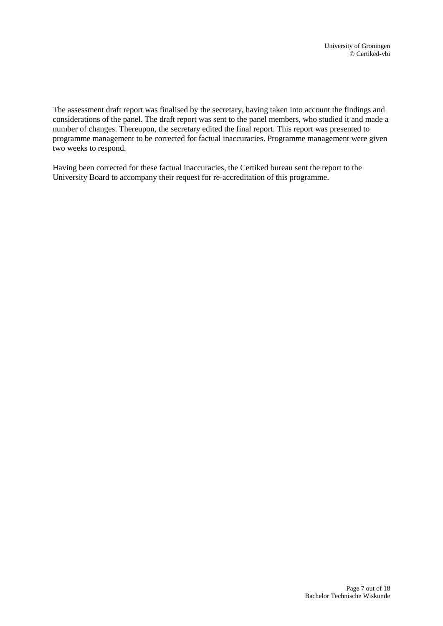The assessment draft report was finalised by the secretary, having taken into account the findings and considerations of the panel. The draft report was sent to the panel members, who studied it and made a number of changes. Thereupon, the secretary edited the final report. This report was presented to programme management to be corrected for factual inaccuracies. Programme management were given two weeks to respond.

Having been corrected for these factual inaccuracies, the Certiked bureau sent the report to the University Board to accompany their request for re-accreditation of this programme.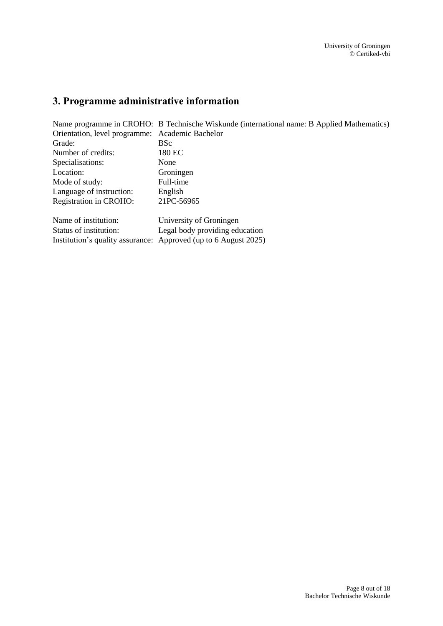# <span id="page-7-0"></span>**3. Programme administrative information**

| Name programme in CROHO: B Technische Wiskunde (international name: B Applied Mathematics) |
|--------------------------------------------------------------------------------------------|
| Orientation, level programme: Academic Bachelor                                            |
| <b>BSc</b>                                                                                 |
| 180 EC                                                                                     |
| None                                                                                       |
| Groningen                                                                                  |
| Full-time                                                                                  |
| English                                                                                    |
| 21PC-56965                                                                                 |
| University of Groningen                                                                    |
| Legal body providing education                                                             |
| Institution's quality assurance: Approved (up to 6 August 2025)                            |
|                                                                                            |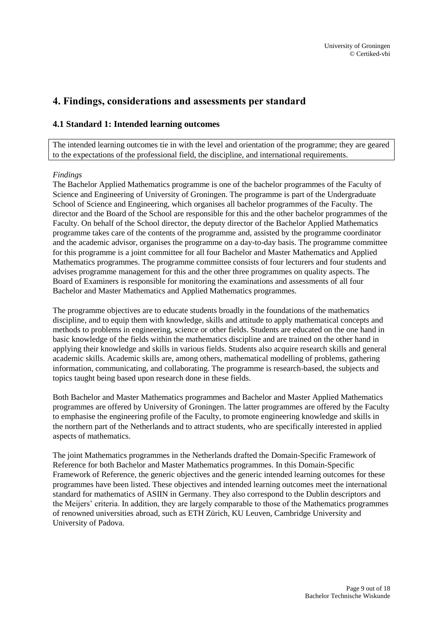# <span id="page-8-0"></span>**4. Findings, considerations and assessments per standard**

### <span id="page-8-1"></span>**4.1 Standard 1: Intended learning outcomes**

The intended learning outcomes tie in with the level and orientation of the programme; they are geared to the expectations of the professional field, the discipline, and international requirements.

#### *Findings*

The Bachelor Applied Mathematics programme is one of the bachelor programmes of the Faculty of Science and Engineering of University of Groningen. The programme is part of the Undergraduate School of Science and Engineering, which organises all bachelor programmes of the Faculty. The director and the Board of the School are responsible for this and the other bachelor programmes of the Faculty. On behalf of the School director, the deputy director of the Bachelor Applied Mathematics programme takes care of the contents of the programme and, assisted by the programme coordinator and the academic advisor, organises the programme on a day-to-day basis. The programme committee for this programme is a joint committee for all four Bachelor and Master Mathematics and Applied Mathematics programmes. The programme committee consists of four lecturers and four students and advises programme management for this and the other three programmes on quality aspects. The Board of Examiners is responsible for monitoring the examinations and assessments of all four Bachelor and Master Mathematics and Applied Mathematics programmes.

The programme objectives are to educate students broadly in the foundations of the mathematics discipline, and to equip them with knowledge, skills and attitude to apply mathematical concepts and methods to problems in engineering, science or other fields. Students are educated on the one hand in basic knowledge of the fields within the mathematics discipline and are trained on the other hand in applying their knowledge and skills in various fields. Students also acquire research skills and general academic skills. Academic skills are, among others, mathematical modelling of problems, gathering information, communicating, and collaborating. The programme is research-based, the subjects and topics taught being based upon research done in these fields.

Both Bachelor and Master Mathematics programmes and Bachelor and Master Applied Mathematics programmes are offered by University of Groningen. The latter programmes are offered by the Faculty to emphasise the engineering profile of the Faculty, to promote engineering knowledge and skills in the northern part of the Netherlands and to attract students, who are specifically interested in applied aspects of mathematics.

The joint Mathematics programmes in the Netherlands drafted the Domain-Specific Framework of Reference for both Bachelor and Master Mathematics programmes. In this Domain-Specific Framework of Reference, the generic objectives and the generic intended learning outcomes for these programmes have been listed. These objectives and intended learning outcomes meet the international standard for mathematics of ASIIN in Germany. They also correspond to the Dublin descriptors and the Meijers' criteria. In addition, they are largely comparable to those of the Mathematics programmes of renowned universities abroad, such as ETH Zürich, KU Leuven, Cambridge University and University of Padova.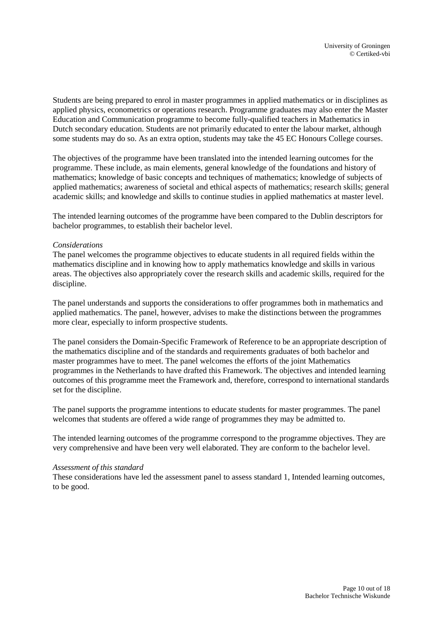Students are being prepared to enrol in master programmes in applied mathematics or in disciplines as applied physics, econometrics or operations research. Programme graduates may also enter the Master Education and Communication programme to become fully-qualified teachers in Mathematics in Dutch secondary education. Students are not primarily educated to enter the labour market, although some students may do so. As an extra option, students may take the 45 EC Honours College courses.

The objectives of the programme have been translated into the intended learning outcomes for the programme. These include, as main elements, general knowledge of the foundations and history of mathematics; knowledge of basic concepts and techniques of mathematics; knowledge of subjects of applied mathematics; awareness of societal and ethical aspects of mathematics; research skills; general academic skills; and knowledge and skills to continue studies in applied mathematics at master level.

The intended learning outcomes of the programme have been compared to the Dublin descriptors for bachelor programmes, to establish their bachelor level.

#### *Considerations*

The panel welcomes the programme objectives to educate students in all required fields within the mathematics discipline and in knowing how to apply mathematics knowledge and skills in various areas. The objectives also appropriately cover the research skills and academic skills, required for the discipline.

The panel understands and supports the considerations to offer programmes both in mathematics and applied mathematics. The panel, however, advises to make the distinctions between the programmes more clear, especially to inform prospective students.

The panel considers the Domain-Specific Framework of Reference to be an appropriate description of the mathematics discipline and of the standards and requirements graduates of both bachelor and master programmes have to meet. The panel welcomes the efforts of the joint Mathematics programmes in the Netherlands to have drafted this Framework. The objectives and intended learning outcomes of this programme meet the Framework and, therefore, correspond to international standards set for the discipline.

The panel supports the programme intentions to educate students for master programmes. The panel welcomes that students are offered a wide range of programmes they may be admitted to.

The intended learning outcomes of the programme correspond to the programme objectives. They are very comprehensive and have been very well elaborated. They are conform to the bachelor level.

#### *Assessment of this standard*

These considerations have led the assessment panel to assess standard 1, Intended learning outcomes, to be good.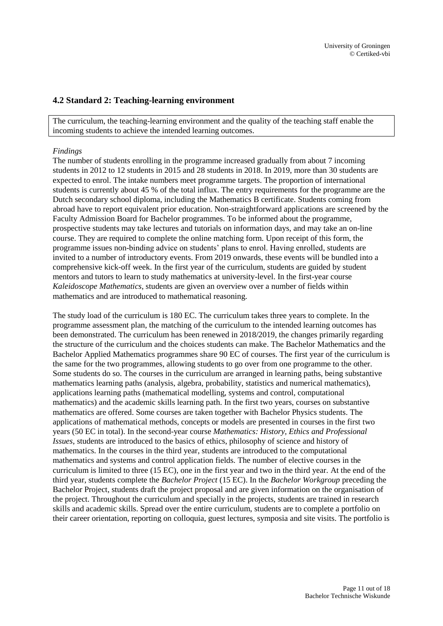### <span id="page-10-0"></span>**4.2 Standard 2: Teaching-learning environment**

The curriculum, the teaching-learning environment and the quality of the teaching staff enable the incoming students to achieve the intended learning outcomes.

#### *Findings*

The number of students enrolling in the programme increased gradually from about 7 incoming students in 2012 to 12 students in 2015 and 28 students in 2018. In 2019, more than 30 students are expected to enrol. The intake numbers meet programme targets. The proportion of international students is currently about 45 % of the total influx. The entry requirements for the programme are the Dutch secondary school diploma, including the Mathematics B certificate. Students coming from abroad have to report equivalent prior education. Non-straightforward applications are screened by the Faculty Admission Board for Bachelor programmes. To be informed about the programme, prospective students may take lectures and tutorials on information days, and may take an on-line course. They are required to complete the online matching form. Upon receipt of this form, the programme issues non-binding advice on students' plans to enrol. Having enrolled, students are invited to a number of introductory events. From 2019 onwards, these events will be bundled into a comprehensive kick-off week. In the first year of the curriculum, students are guided by student mentors and tutors to learn to study mathematics at university-level. In the first-year course *Kaleidoscope Mathematics*, students are given an overview over a number of fields within mathematics and are introduced to mathematical reasoning.

The study load of the curriculum is 180 EC. The curriculum takes three years to complete. In the programme assessment plan, the matching of the curriculum to the intended learning outcomes has been demonstrated. The curriculum has been renewed in 2018/2019, the changes primarily regarding the structure of the curriculum and the choices students can make. The Bachelor Mathematics and the Bachelor Applied Mathematics programmes share 90 EC of courses. The first year of the curriculum is the same for the two programmes, allowing students to go over from one programme to the other. Some students do so. The courses in the curriculum are arranged in learning paths, being substantive mathematics learning paths (analysis, algebra, probability, statistics and numerical mathematics), applications learning paths (mathematical modelling, systems and control, computational mathematics) and the academic skills learning path. In the first two years, courses on substantive mathematics are offered. Some courses are taken together with Bachelor Physics students. The applications of mathematical methods, concepts or models are presented in courses in the first two years (50 EC in total). In the second-year course *Mathematics: History, Ethics and Professional Issues*, students are introduced to the basics of ethics, philosophy of science and history of mathematics. In the courses in the third year, students are introduced to the computational mathematics and systems and control application fields. The number of elective courses in the curriculum is limited to three (15 EC), one in the first year and two in the third year. At the end of the third year, students complete the *Bachelor Project* (15 EC). In the *Bachelor Workgroup* preceding the Bachelor Project, students draft the project proposal and are given information on the organisation of the project. Throughout the curriculum and specially in the projects, students are trained in research skills and academic skills. Spread over the entire curriculum, students are to complete a portfolio on their career orientation, reporting on colloquia, guest lectures, symposia and site visits. The portfolio is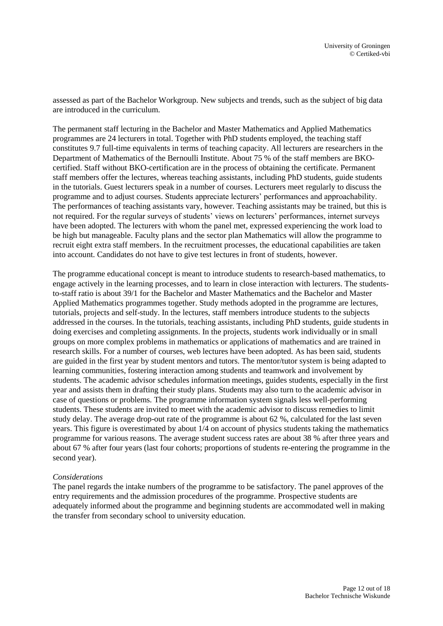assessed as part of the Bachelor Workgroup. New subjects and trends, such as the subject of big data are introduced in the curriculum.

The permanent staff lecturing in the Bachelor and Master Mathematics and Applied Mathematics programmes are 24 lecturers in total. Together with PhD students employed, the teaching staff constitutes 9.7 full-time equivalents in terms of teaching capacity. All lecturers are researchers in the Department of Mathematics of the Bernoulli Institute. About 75 % of the staff members are BKOcertified. Staff without BKO-certification are in the process of obtaining the certificate. Permanent staff members offer the lectures, whereas teaching assistants, including PhD students, guide students in the tutorials. Guest lecturers speak in a number of courses. Lecturers meet regularly to discuss the programme and to adjust courses. Students appreciate lecturers' performances and approachability. The performances of teaching assistants vary, however. Teaching assistants may be trained, but this is not required. For the regular surveys of students' views on lecturers' performances, internet surveys have been adopted. The lecturers with whom the panel met, expressed experiencing the work load to be high but manageable. Faculty plans and the sector plan Mathematics will allow the programme to recruit eight extra staff members. In the recruitment processes, the educational capabilities are taken into account. Candidates do not have to give test lectures in front of students, however.

The programme educational concept is meant to introduce students to research-based mathematics, to engage actively in the learning processes, and to learn in close interaction with lecturers. The studentsto-staff ratio is about 39/1 for the Bachelor and Master Mathematics and the Bachelor and Master Applied Mathematics programmes together. Study methods adopted in the programme are lectures, tutorials, projects and self-study. In the lectures, staff members introduce students to the subjects addressed in the courses. In the tutorials, teaching assistants, including PhD students, guide students in doing exercises and completing assignments. In the projects, students work individually or in small groups on more complex problems in mathematics or applications of mathematics and are trained in research skills. For a number of courses, web lectures have been adopted. As has been said, students are guided in the first year by student mentors and tutors. The mentor/tutor system is being adapted to learning communities, fostering interaction among students and teamwork and involvement by students. The academic advisor schedules information meetings, guides students, especially in the first year and assists them in drafting their study plans. Students may also turn to the academic advisor in case of questions or problems. The programme information system signals less well-performing students. These students are invited to meet with the academic advisor to discuss remedies to limit study delay. The average drop-out rate of the programme is about 62 %, calculated for the last seven years. This figure is overestimated by about 1/4 on account of physics students taking the mathematics programme for various reasons. The average student success rates are about 38 % after three years and about 67 % after four years (last four cohorts; proportions of students re-entering the programme in the second year).

#### *Considerations*

The panel regards the intake numbers of the programme to be satisfactory. The panel approves of the entry requirements and the admission procedures of the programme. Prospective students are adequately informed about the programme and beginning students are accommodated well in making the transfer from secondary school to university education.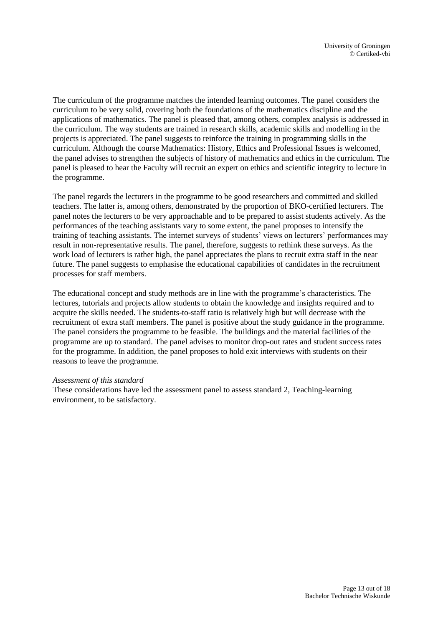The curriculum of the programme matches the intended learning outcomes. The panel considers the curriculum to be very solid, covering both the foundations of the mathematics discipline and the applications of mathematics. The panel is pleased that, among others, complex analysis is addressed in the curriculum. The way students are trained in research skills, academic skills and modelling in the projects is appreciated. The panel suggests to reinforce the training in programming skills in the curriculum. Although the course Mathematics: History, Ethics and Professional Issues is welcomed, the panel advises to strengthen the subjects of history of mathematics and ethics in the curriculum. The panel is pleased to hear the Faculty will recruit an expert on ethics and scientific integrity to lecture in the programme.

The panel regards the lecturers in the programme to be good researchers and committed and skilled teachers. The latter is, among others, demonstrated by the proportion of BKO-certified lecturers. The panel notes the lecturers to be very approachable and to be prepared to assist students actively. As the performances of the teaching assistants vary to some extent, the panel proposes to intensify the training of teaching assistants. The internet surveys of students' views on lecturers' performances may result in non-representative results. The panel, therefore, suggests to rethink these surveys. As the work load of lecturers is rather high, the panel appreciates the plans to recruit extra staff in the near future. The panel suggests to emphasise the educational capabilities of candidates in the recruitment processes for staff members.

The educational concept and study methods are in line with the programme's characteristics. The lectures, tutorials and projects allow students to obtain the knowledge and insights required and to acquire the skills needed. The students-to-staff ratio is relatively high but will decrease with the recruitment of extra staff members. The panel is positive about the study guidance in the programme. The panel considers the programme to be feasible. The buildings and the material facilities of the programme are up to standard. The panel advises to monitor drop-out rates and student success rates for the programme. In addition, the panel proposes to hold exit interviews with students on their reasons to leave the programme.

#### *Assessment of this standard*

These considerations have led the assessment panel to assess standard 2, Teaching-learning environment, to be satisfactory.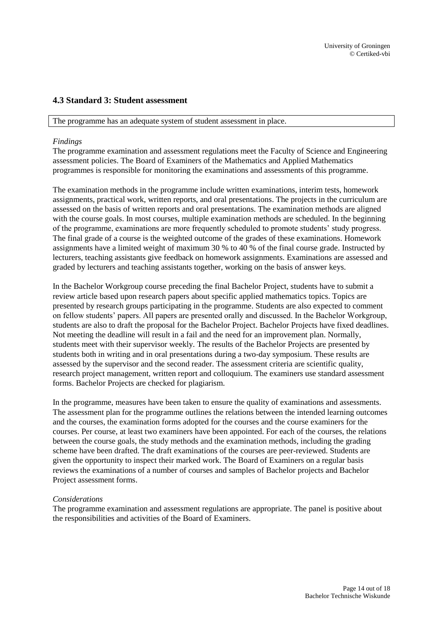### <span id="page-13-0"></span>**4.3 Standard 3: Student assessment**

The programme has an adequate system of student assessment in place.

#### *Findings*

The programme examination and assessment regulations meet the Faculty of Science and Engineering assessment policies. The Board of Examiners of the Mathematics and Applied Mathematics programmes is responsible for monitoring the examinations and assessments of this programme.

The examination methods in the programme include written examinations, interim tests, homework assignments, practical work, written reports, and oral presentations. The projects in the curriculum are assessed on the basis of written reports and oral presentations. The examination methods are aligned with the course goals. In most courses, multiple examination methods are scheduled. In the beginning of the programme, examinations are more frequently scheduled to promote students' study progress. The final grade of a course is the weighted outcome of the grades of these examinations. Homework assignments have a limited weight of maximum 30 % to 40 % of the final course grade. Instructed by lecturers, teaching assistants give feedback on homework assignments. Examinations are assessed and graded by lecturers and teaching assistants together, working on the basis of answer keys.

In the Bachelor Workgroup course preceding the final Bachelor Project, students have to submit a review article based upon research papers about specific applied mathematics topics. Topics are presented by research groups participating in the programme. Students are also expected to comment on fellow students' papers. All papers are presented orally and discussed. In the Bachelor Workgroup, students are also to draft the proposal for the Bachelor Project. Bachelor Projects have fixed deadlines. Not meeting the deadline will result in a fail and the need for an improvement plan. Normally, students meet with their supervisor weekly. The results of the Bachelor Projects are presented by students both in writing and in oral presentations during a two-day symposium. These results are assessed by the supervisor and the second reader. The assessment criteria are scientific quality, research project management, written report and colloquium. The examiners use standard assessment forms. Bachelor Projects are checked for plagiarism.

In the programme, measures have been taken to ensure the quality of examinations and assessments. The assessment plan for the programme outlines the relations between the intended learning outcomes and the courses, the examination forms adopted for the courses and the course examiners for the courses. Per course, at least two examiners have been appointed. For each of the courses, the relations between the course goals, the study methods and the examination methods, including the grading scheme have been drafted. The draft examinations of the courses are peer-reviewed. Students are given the opportunity to inspect their marked work. The Board of Examiners on a regular basis reviews the examinations of a number of courses and samples of Bachelor projects and Bachelor Project assessment forms.

#### *Considerations*

The programme examination and assessment regulations are appropriate. The panel is positive about the responsibilities and activities of the Board of Examiners.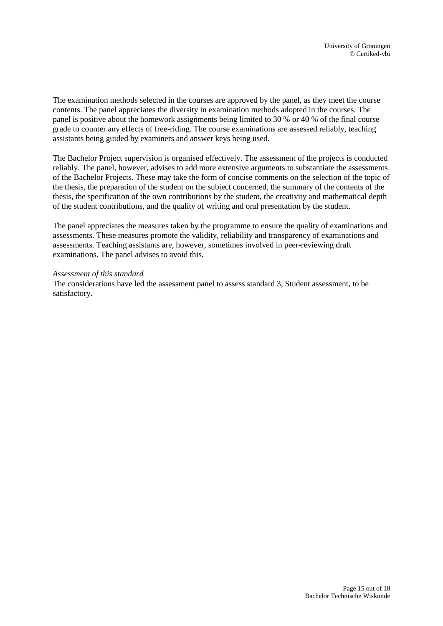The examination methods selected in the courses are approved by the panel, as they meet the course contents. The panel appreciates the diversity in examination methods adopted in the courses. The panel is positive about the homework assignments being limited to 30 % or 40 % of the final course grade to counter any effects of free-riding. The course examinations are assessed reliably, teaching assistants being guided by examiners and answer keys being used.

The Bachelor Project supervision is organised effectively. The assessment of the projects is conducted reliably. The panel, however, advises to add more extensive arguments to substantiate the assessments of the Bachelor Projects. These may take the form of concise comments on the selection of the topic of the thesis, the preparation of the student on the subject concerned, the summary of the contents of the thesis, the specification of the own contributions by the student, the creativity and mathematical depth of the student contributions, and the quality of writing and oral presentation by the student.

The panel appreciates the measures taken by the programme to ensure the quality of examinations and assessments. These measures promote the validity, reliability and transparency of examinations and assessments. Teaching assistants are, however, sometimes involved in peer-reviewing draft examinations. The panel advises to avoid this.

#### *Assessment of this standard*

The considerations have led the assessment panel to assess standard 3, Student assessment, to be satisfactory.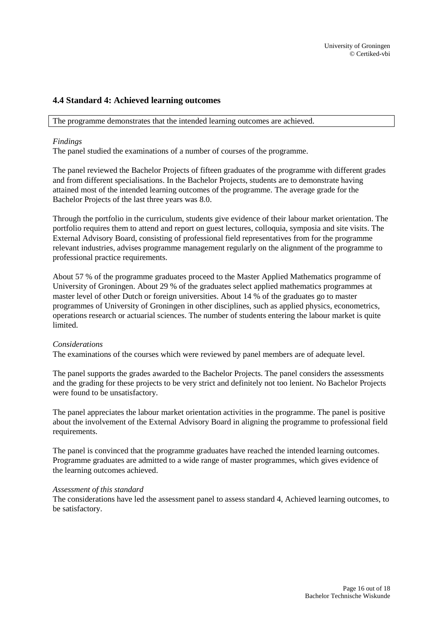### <span id="page-15-0"></span>**4.4 Standard 4: Achieved learning outcomes**

The programme demonstrates that the intended learning outcomes are achieved.

#### *Findings*

The panel studied the examinations of a number of courses of the programme.

The panel reviewed the Bachelor Projects of fifteen graduates of the programme with different grades and from different specialisations. In the Bachelor Projects, students are to demonstrate having attained most of the intended learning outcomes of the programme. The average grade for the Bachelor Projects of the last three years was 8.0.

Through the portfolio in the curriculum, students give evidence of their labour market orientation. The portfolio requires them to attend and report on guest lectures, colloquia, symposia and site visits. The External Advisory Board, consisting of professional field representatives from for the programme relevant industries, advises programme management regularly on the alignment of the programme to professional practice requirements.

About 57 % of the programme graduates proceed to the Master Applied Mathematics programme of University of Groningen. About 29 % of the graduates select applied mathematics programmes at master level of other Dutch or foreign universities. About 14 % of the graduates go to master programmes of University of Groningen in other disciplines, such as applied physics, econometrics, operations research or actuarial sciences. The number of students entering the labour market is quite limited.

#### *Considerations*

The examinations of the courses which were reviewed by panel members are of adequate level.

The panel supports the grades awarded to the Bachelor Projects. The panel considers the assessments and the grading for these projects to be very strict and definitely not too lenient. No Bachelor Projects were found to be unsatisfactory.

The panel appreciates the labour market orientation activities in the programme. The panel is positive about the involvement of the External Advisory Board in aligning the programme to professional field requirements.

The panel is convinced that the programme graduates have reached the intended learning outcomes. Programme graduates are admitted to a wide range of master programmes, which gives evidence of the learning outcomes achieved.

#### *Assessment of this standard*

The considerations have led the assessment panel to assess standard 4, Achieved learning outcomes, to be satisfactory.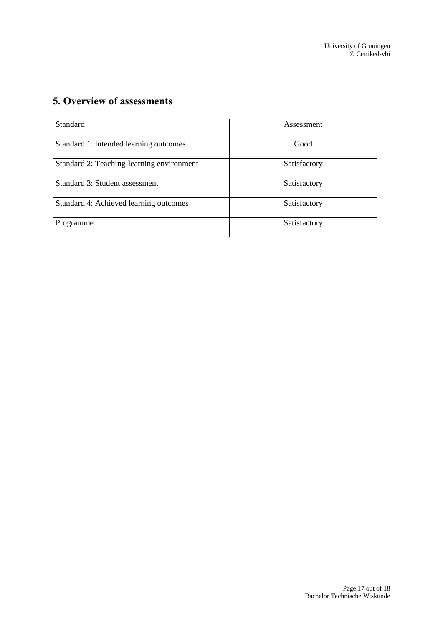# <span id="page-16-0"></span>**5. Overview of assessments**

| <b>Standard</b>                           | Assessment   |
|-------------------------------------------|--------------|
| Standard 1. Intended learning outcomes    | Good         |
| Standard 2: Teaching-learning environment | Satisfactory |
| Standard 3: Student assessment            | Satisfactory |
| Standard 4: Achieved learning outcomes    | Satisfactory |
| Programme                                 | Satisfactory |